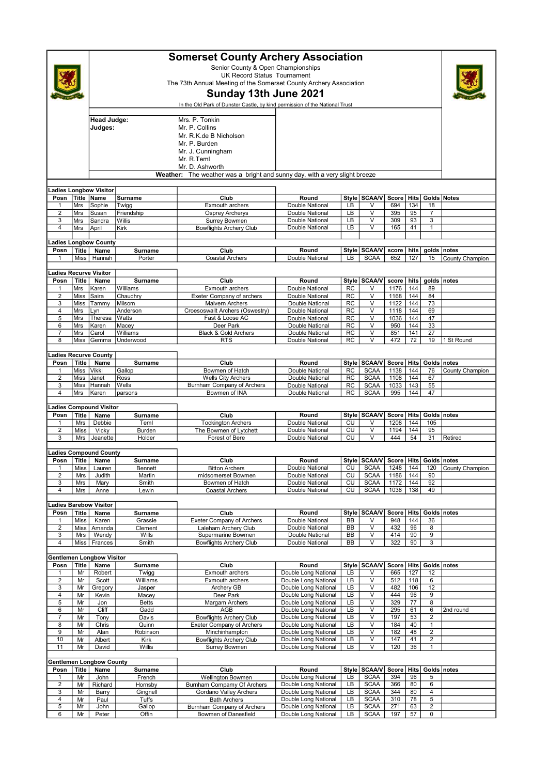|                                                                               |                      | <b>Somerset County Archery Association</b><br>Senior County & Open Championships<br><b>UK Record Status Tournament</b><br>The 73th Annual Meeting of the Somerset County Archery Association<br>Sunday 13th June 2021<br>In the Old Park of Dunster Castle, by kind permission of the National Trust |                            |                                                      |                                              |                 |                                     |               |             |                         |                 |  |
|-------------------------------------------------------------------------------|----------------------|------------------------------------------------------------------------------------------------------------------------------------------------------------------------------------------------------------------------------------------------------------------------------------------------------|----------------------------|------------------------------------------------------|----------------------------------------------|-----------------|-------------------------------------|---------------|-------------|-------------------------|-----------------|--|
|                                                                               |                      | Mrs. P. Tonkin<br>Head Judge:<br>Judges:<br>Mr. P. Collins<br>Mr. R.K.de B Nicholson<br>Mr. P. Burden<br>Mr. J. Cunningham<br>Mr. R.Teml<br>Mr. D. Ashworth                                                                                                                                          |                            |                                                      |                                              |                 |                                     |               |             |                         |                 |  |
| The weather was a bright and sunny day, with a very slight breeze<br>Weather: |                      |                                                                                                                                                                                                                                                                                                      |                            |                                                      |                                              |                 |                                     |               |             |                         |                 |  |
|                                                                               |                      | adies Longbow Visitor                                                                                                                                                                                                                                                                                |                            |                                                      |                                              |                 |                                     |               |             |                         |                 |  |
| Posn                                                                          | Mrs                  | Title Name<br>Sophie                                                                                                                                                                                                                                                                                 | Surname                    | Club<br>Exmouth archers                              | Round<br>Double National                     | LВ              | Style   SCAA/V<br>V                 | Score<br>694  | Hits<br>134 | Golds Notes<br>18       |                 |  |
| 1<br>$\overline{2}$                                                           | Mrs                  | Susan                                                                                                                                                                                                                                                                                                | Twigg<br>Friendship        | <b>Osprey Archerys</b>                               | Double National                              | LB              | $\vee$                              | 395           | 95          | $\overline{7}$          |                 |  |
| 3                                                                             | Mrs                  | Sandra                                                                                                                                                                                                                                                                                               | Willis                     | <b>Surrey Bowmen</b>                                 | Double National                              | LB              | $\vee$                              | 309           | 93          | 3                       |                 |  |
| $\overline{4}$                                                                | Mrs                  | April                                                                                                                                                                                                                                                                                                | Kirk                       | <b>Bowflights Archery Club</b>                       | Double National                              | LВ              | $\overline{\mathsf{v}}$             | 165           | 41          | 1                       |                 |  |
|                                                                               |                      |                                                                                                                                                                                                                                                                                                      |                            |                                                      |                                              |                 |                                     |               |             |                         |                 |  |
| Posn                                                                          | <b>Title</b>         | adies Longbow County<br>Name                                                                                                                                                                                                                                                                         | Surname                    | Club                                                 | Round                                        | Style           | <b>SCAA/V</b>                       | score         | hits        | golds notes             |                 |  |
| 1                                                                             | Miss                 | Hannah                                                                                                                                                                                                                                                                                               | Porter                     | <b>Coastal Archers</b>                               | Double National                              | LB              | <b>SCAA</b>                         | 652           | 127         | 15                      | County Champion |  |
|                                                                               |                      |                                                                                                                                                                                                                                                                                                      |                            |                                                      |                                              |                 |                                     |               |             |                         |                 |  |
|                                                                               |                      | adies Recurve Visitor.                                                                                                                                                                                                                                                                               |                            |                                                      |                                              |                 |                                     |               |             |                         |                 |  |
| Posn                                                                          | Title                | Name                                                                                                                                                                                                                                                                                                 | <b>Surname</b><br>Williams | Club                                                 | Round<br>Double National                     | <b>RC</b>       | Style SCAA/V                        | score<br>1176 | hits<br>144 | golds notes             |                 |  |
| 1<br>$\overline{2}$                                                           | Mrs<br>Miss          | Karen<br>Saira                                                                                                                                                                                                                                                                                       | Chaudhry                   | Exmouth archers<br>Exeter Company of archers         | Double National                              | <b>RC</b>       | V<br>$\vee$                         | 1168          | 144         | 89<br>84                |                 |  |
| 3                                                                             | Miss                 | Tammy                                                                                                                                                                                                                                                                                                | Milsom                     | <b>Malvern Archers</b>                               | Double National                              | RC              | V                                   | 1122          | 144         | 73                      |                 |  |
| $\overline{4}$                                                                | Mrs                  | Lyn                                                                                                                                                                                                                                                                                                  | Anderson                   | Croesoswallt Archers (Oswestry)                      | Double National                              | RC              | V                                   | 1118          | 144         | 69                      |                 |  |
| 5                                                                             | Mrs                  | Theresa                                                                                                                                                                                                                                                                                              | Watts                      | Fast & Loose AC                                      | Double National                              | RC              | $\vee$                              | 1036          | 144         | 47                      |                 |  |
| 6                                                                             | Mrs                  | Karen                                                                                                                                                                                                                                                                                                | Macey                      | Deer Park                                            | Double National                              | <b>RC</b>       | $\vee$                              | 950           | 144         | 33                      |                 |  |
| $\overline{7}$<br>8                                                           | Mrs<br>Miss          | Carol<br>Gemma                                                                                                                                                                                                                                                                                       | Williams<br>Underwood      | Black & Gold Archers<br><b>RTS</b>                   | Double National<br>Double National           | RC<br><b>RC</b> | V<br>$\vee$                         | 851<br>472    | 141<br>72   | 27<br>19                | 1 St Round      |  |
|                                                                               |                      |                                                                                                                                                                                                                                                                                                      |                            |                                                      |                                              |                 |                                     |               |             |                         |                 |  |
|                                                                               |                      | adies Recurve County.                                                                                                                                                                                                                                                                                |                            |                                                      |                                              |                 |                                     |               |             |                         |                 |  |
| Posn                                                                          | Title                | Name                                                                                                                                                                                                                                                                                                 | Surname                    | Club                                                 | Round                                        |                 | Style   SCAA/V                      | Score Hits    |             | Golds notes             |                 |  |
| 1                                                                             | Miss                 | Vikki                                                                                                                                                                                                                                                                                                | Gallop                     | Bowmen of Hatch                                      | Double National                              | <b>RC</b>       | <b>SCAA</b>                         | 1138          | 144         | 76                      | County Champion |  |
| $\overline{2}$                                                                | Miss                 | Janet                                                                                                                                                                                                                                                                                                | Ross                       | <b>Wells City Archers</b>                            | Double National                              | RC              | <b>SCAA</b>                         | 1108          | 144         | 67                      |                 |  |
| 3<br>$\overline{4}$                                                           | Miss<br>Mrs          | Hannah<br>Karen                                                                                                                                                                                                                                                                                      | Wells<br>parsons           | Burnham Company of Archers<br>Bowmen of INA          | Double National<br>Double National           | RC<br><b>RC</b> | <b>SCAA</b><br><b>SCAA</b>          | 1033<br>995   | 143<br>144  | 55<br>47                |                 |  |
|                                                                               |                      |                                                                                                                                                                                                                                                                                                      |                            |                                                      |                                              |                 |                                     |               |             |                         |                 |  |
|                                                                               |                      | adies Compound Visitor                                                                                                                                                                                                                                                                               |                            |                                                      |                                              |                 |                                     |               |             |                         |                 |  |
| Posn                                                                          | Title                | Name                                                                                                                                                                                                                                                                                                 | <b>Surname</b>             | Club                                                 | Round                                        |                 | Style SCAA/V                        | Score         | Hits        | Golds notes             |                 |  |
| 1<br>$\overline{2}$                                                           | Mrs                  | Debbie                                                                                                                                                                                                                                                                                               | Teml<br>Burden             | <b>Tockington Archers</b>                            | Double National<br>Double National           | CU<br>CU        | $\vee$<br>V                         | 1208<br>1194  | 144<br>144  | 105<br>95               |                 |  |
| 3                                                                             | Miss<br>Mrs          | Vicky<br>Jeanette                                                                                                                                                                                                                                                                                    | Holder                     | The Bowmen of Lytchett<br>Forest of Bere             | Double National                              | CU              | $\overline{\mathsf{v}}$             | 444           | 54          | 31                      | Retired         |  |
|                                                                               |                      |                                                                                                                                                                                                                                                                                                      |                            |                                                      |                                              |                 |                                     |               |             |                         |                 |  |
|                                                                               |                      | adies Compound County                                                                                                                                                                                                                                                                                |                            |                                                      |                                              |                 |                                     |               |             |                         |                 |  |
|                                                                               |                      | Posn   Title   Name                                                                                                                                                                                                                                                                                  | Surname                    | Club                                                 | Round                                        |                 | Style SCAA/V Score Hits Golds notes |               |             |                         |                 |  |
| 1<br>$\overline{c}$                                                           | Miss                 | Lauren                                                                                                                                                                                                                                                                                               | Bennett                    | <b>Bitton Archers</b><br>midsomerset Bowmen          | Double National<br>Double National           | CU              | <b>SCAA</b><br><b>SCAA</b>          | 1248          | 144<br>144  | 120                     | County Champion |  |
| 3                                                                             | Mrs<br>Mrs           | Judith<br>Mary                                                                                                                                                                                                                                                                                       | Martin<br>Smith            | Bowmen of Hatch                                      | Double National                              | CU<br>CU        | <b>SCAA</b>                         | 1186<br>1172  | 144         | 90<br>92                |                 |  |
| 4                                                                             | Mrs                  | Anne                                                                                                                                                                                                                                                                                                 | Lewin                      | Coastal Archers                                      | Double National                              | CU              | <b>SCAA</b>                         | 1038          | 138         | 49                      |                 |  |
|                                                                               |                      |                                                                                                                                                                                                                                                                                                      |                            |                                                      |                                              |                 |                                     |               |             |                         |                 |  |
|                                                                               |                      | adies Barebow Visitor                                                                                                                                                                                                                                                                                |                            |                                                      |                                              |                 |                                     |               |             |                         |                 |  |
| Posn<br>1                                                                     | <b>Title</b><br>Miss | Name<br>Karen                                                                                                                                                                                                                                                                                        | Surname<br>Grassie         | Club<br><b>Exeter Company of Archers</b>             | Round<br>Double National                     | BB              | Style   SCAA/V<br>٧                 | Score<br>948  | Hits<br>144 | Golds   notes<br>36     |                 |  |
| $\overline{\mathbf{c}}$                                                       | Miss                 | Amanda                                                                                                                                                                                                                                                                                               | Clement                    | Laleham Archery Club                                 | Double National                              | BB              | $\vee$                              | 432           | 96          | 8                       |                 |  |
| 3                                                                             | Mrs                  | Wendy                                                                                                                                                                                                                                                                                                | Wills                      | Supermarine Bowmen                                   | Double National                              | BB              | $\overline{\mathsf{v}}$             | 414           | 90          | $\overline{9}$          |                 |  |
| $\sqrt{4}$                                                                    |                      | Miss Frances                                                                                                                                                                                                                                                                                         | Smith                      | <b>Bowflights Archery Club</b>                       | Double National                              | BB              | V                                   | 322           | 90          | 3                       |                 |  |
|                                                                               |                      | Gentlemen Longbow Visitor                                                                                                                                                                                                                                                                            |                            |                                                      |                                              |                 |                                     |               |             |                         |                 |  |
| Posn                                                                          | <b>Title</b>         | Name                                                                                                                                                                                                                                                                                                 | Surname                    | Club                                                 | Round                                        | Style           | <b>SCAA/V</b>                       | Score         | Hits        | Golds   notes           |                 |  |
| 1                                                                             | Mr                   | Robert                                                                                                                                                                                                                                                                                               | Twigg                      | Exmouth archers                                      | Double Long National                         | LB              | ٧                                   | 665           | 127         | 12                      |                 |  |
| $\overline{\mathbf{c}}$                                                       | Mr                   | Scott                                                                                                                                                                                                                                                                                                | Williams                   | Exmouth archers                                      | Double Long National                         | LB              | V                                   | 512           | 118         | 6                       |                 |  |
| 3                                                                             | Mr                   | Gregory                                                                                                                                                                                                                                                                                              | Jasper                     | Archery GB                                           | Double Long National                         | LB              | $\overline{\mathsf{v}}$             | 482           | 106         | 12                      |                 |  |
| 4                                                                             | Mr                   | Kevin                                                                                                                                                                                                                                                                                                | Macey                      | Deer Park                                            | Double Long National                         | LB              | V<br>$\overline{\mathsf{v}}$        | 444           | 96          | 9                       |                 |  |
| 5<br>6                                                                        | Mr<br>Mr             | Jon<br>Cliff                                                                                                                                                                                                                                                                                         | <b>Betts</b><br>Gadd       | Margam Archers<br>AGB                                | Double Long National<br>Double Long National | LB<br>LB        | V                                   | 329<br>295    | 77<br>61    | 8<br>6                  | 2nd round       |  |
| 7                                                                             | Mr                   | Tony                                                                                                                                                                                                                                                                                                 | Davis                      | <b>Bowflights Archery Club</b>                       | Double Long National                         | LB              | V                                   | 197           | 53          | $\overline{2}$          |                 |  |
| 8                                                                             | Mr                   | Chris                                                                                                                                                                                                                                                                                                | Quinn                      | <b>Exeter Company of Archers</b>                     | Double Long National                         | LB              | V                                   | 184           | 40          | $\mathbf{1}$            |                 |  |
| 9                                                                             | Mr                   | Alan                                                                                                                                                                                                                                                                                                 | Robinson                   | Minchinhampton                                       | Double Long National                         | LB              | V                                   | 182           | 48          | $\overline{c}$          |                 |  |
| 10<br>11                                                                      | Mr<br>Mr             | Albert<br>David                                                                                                                                                                                                                                                                                      | Kirk<br>Willis             | <b>Bowflights Archery Club</b><br>Surrey Bowmen      | Double Long National<br>Double Long National | LB<br>LB        | V<br>V                              | 147           | 41<br>36    | 2<br>$\mathbf{1}$       |                 |  |
|                                                                               |                      |                                                                                                                                                                                                                                                                                                      |                            |                                                      |                                              |                 |                                     | 120           |             |                         |                 |  |
| Gentlemen Longbow County                                                      |                      |                                                                                                                                                                                                                                                                                                      |                            |                                                      |                                              |                 |                                     |               |             |                         |                 |  |
| Posn                                                                          | Title                | Name                                                                                                                                                                                                                                                                                                 | Surname                    | Club                                                 | Round                                        |                 | Style SCAA/V                        | Score         | Hits        | Golds notes             |                 |  |
| 1                                                                             | Mr                   | John                                                                                                                                                                                                                                                                                                 | French                     | Wellington Bowmen                                    | Double Long National                         | LB              | <b>SCAA</b>                         | 394           | 96          | 5                       |                 |  |
| $\overline{2}$<br>3                                                           | Mr<br>Mr             | Richard<br>Barry                                                                                                                                                                                                                                                                                     | Hornsby<br>Gingnell        | Burnham Compamy Of Archers<br>Gordano Valley Archers | Double Long National<br>Double Long National | LB<br>LB        | <b>SCAA</b><br><b>SCAA</b>          | 366<br>344    | 80<br>80    | 6<br>4                  |                 |  |
| 4                                                                             | Mr                   | Paul                                                                                                                                                                                                                                                                                                 | Tuffs                      | <b>Bath Archers</b>                                  | Double Long National                         | LB              | <b>SCAA</b>                         | 310           | 78          | 5                       |                 |  |
| $\overline{5}$                                                                | Mr                   | John                                                                                                                                                                                                                                                                                                 | Gallop                     | Burnham Company of Archers                           | Double Long National                         | LB              | <b>SCAA</b>                         | 271           | 63          | $\overline{\mathbf{c}}$ |                 |  |
| 6                                                                             | Mr                   | Peter                                                                                                                                                                                                                                                                                                | Offin                      | Bowmen of Danesfield                                 | Double Long National                         | LB              | <b>SCAA</b>                         | 197           | 57          | 0                       |                 |  |